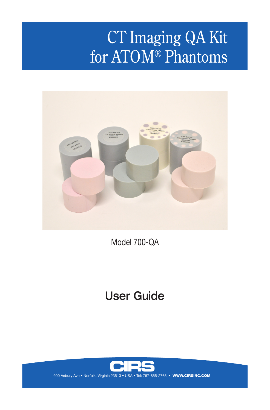# CT Imaging QA Kit for ATOM® Phantoms



Model 700-QA

# User Guide

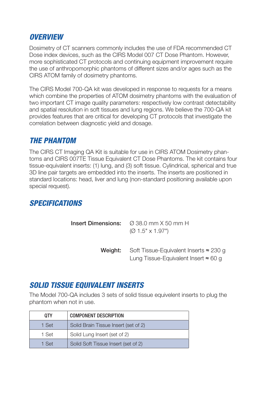# *OVERVIEW*

Dosimetry of CT scanners commonly includes the use of FDA recommended CT Dose index devices, such as the CIRS Model 007 CT Dose Phantom. However, more sophisticated CT protocols and continuing equipment improvement require the use of anthropomorphic phantoms of different sizes and/or ages such as the CIRS ATOM family of dosimetry phantoms.

The CIRS Model 700-QA kit was developed in response to requests for a means which combine the properties of ATOM dosimetry phantoms with the evaluation of two important CT image quality parameters: respectively low contrast detectability and spatial resolution in soft tissues and lung regions. We believe the 700-QA kit provides features that are critical for developing CT protocols that investigate the correlation between diagnostic yield and dosage.

### *THE PHANTOM*

The CIRS CT Imaging QA Kit is suitable for use in CIRS ATOM Dosimetry phantoms and CIRS 007TE Tissue Equivalent CT Dose Phantoms. The kit contains four tissue-equivalent inserts: (1) lung, and (3) soft tissue. Cylindrical, spherical and true 3D line pair targets are embedded into the inserts. The inserts are positioned in standard locations: head, liver and lung (non-standard positioning available upon special request).

# *SPECIFICATIONS*

| <b>Insert Dimensions:</b> $\varnothing$ 38.0 mm X 50 mm H<br>$(0.1.5" \times 1.97")$                          |
|---------------------------------------------------------------------------------------------------------------|
| <b>Weight:</b> Soft Tissue-Equivalent Inserts $\approx$ 230 g<br>Lung Tissue-Equivalent Insert $\approx$ 60 g |

# *SOLID TISSUE EQUIVALENT INSERTS*

The Model 700-QA includes 3 sets of solid tissue equivelent inserts to plug the phantom when not in use.

| 0TY   | <b>COMPONENT DESCRIPTION</b>         |
|-------|--------------------------------------|
| 1 Set | Solid Brain Tissue Insert (set of 2) |
| 1 Set | Solid Lung Insert (set of 2)         |
| 1 Set | Solid Soft Tissue Insert (set of 2)  |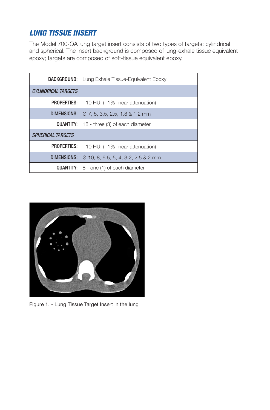# *LUNG TISSUE INSERT*

The Model 700-QA lung target insert consists of two types of targets: cylindrical and spherical. The Insert background is composed of lung-exhale tissue equivalent epoxy; targets are composed of soft-tissue equivalent epoxy.

| BACKGROUND:                | Lung Exhale Tissue-Equivalent Epoxy             |  |
|----------------------------|-------------------------------------------------|--|
| <b>CYLINDRICAL TARGETS</b> |                                                 |  |
| <b>PROPERTIES:</b>         | $+10$ HU; $(+1\%$ linear attenuation)           |  |
| <b>DIMENSIONS:</b>         | $\varnothing$ 7, 5, 3.5, 2.5, 1.8 & 1.2 mm      |  |
| QUANTITY:                  | 18 - three (3) of each diameter                 |  |
| <b>SPHERICAL TARGETS</b>   |                                                 |  |
| <b>PROPERTIES:</b>         | $+10$ HU; $(+1\%$ linear attenuation)           |  |
| DIMENSIONS:                | $\varnothing$ 10, 8, 6.5, 5, 4, 3.2, 2.5 & 2 mm |  |
| <b>QUANTITY:</b>           | 8 - one (1) of each diameter                    |  |



Figure 1. - Lung Tissue Target Insert in the lung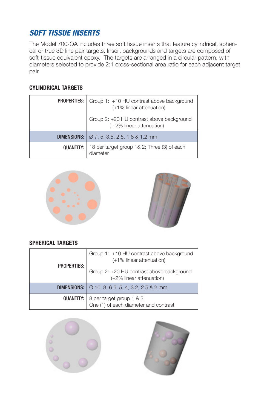# *SOFT TISSUE INSERTS*

The Model 700-QA includes three soft tissue inserts that feature cylindrical, spherical or true 3D line pair targets. Insert backgrounds and targets are composed of soft-tissue equivalent epoxy. The targets are arranged in a circular pattern, with diameters selected to provide 2:1 cross-sectional area ratio for each adjacent target pair.

#### **CYLINDRICAL TARGETS**

| <b>PROPERTIES:</b> | Group 1: +10 HU contrast above background<br>(+1% linear attenuation)    |  |
|--------------------|--------------------------------------------------------------------------|--|
|                    | Group 2: +20 HU contrast above background<br>$(+2\%$ linear attenuation) |  |
| DIMENSIONS:        | $\sqrt{07, 5, 3.5, 2.5, 1.881.2 \text{ mm}}$                             |  |
| QUANTITY:          | 18 per target group 1& 2; Three (3) of each<br>diameter                  |  |





#### **SPHERICAL TARGETS**

| <b>PROPERTIES:</b> | Group 1: +10 HU contrast above background<br>(+1% linear attenuation)               |  |
|--------------------|-------------------------------------------------------------------------------------|--|
|                    | Group 2: +20 HU contrast above background<br>(+2% linear attenuation)               |  |
|                    | <b>DIMENSIONS:</b> $\varnothing$ 10, 8, 6.5, 5, 4, 3.2, 2.5 & 2 mm                  |  |
|                    | <b>QUANTITY:</b> 8 per target group 1 & 2;<br>One (1) of each diameter and contrast |  |



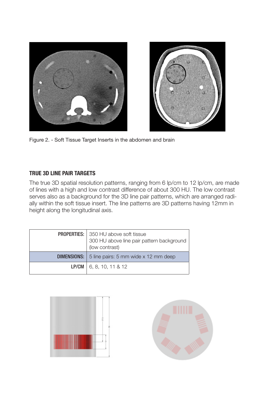

Figure 2. - Soft Tissue Target Inserts in the abdomen and brain

#### **TRUE 3D LINE PAIR TARGETS**

The true 3D spatial resolution patterns, ranging from 6 lp/cm to 12 lp/cm, are made of lines with a high and low contrast difference of about 300 HU. The low contrast serves also as a background for the 3D line pair patterns, which are arranged radially within the soft tissue insert. The line patterns are 3D patterns having 12mm in height along the longitudinal axis.

| <b>PROPERTIES:</b>   350 HU above soft tissue<br>300 HU above line pair pattern background<br>(low contrast) |  |
|--------------------------------------------------------------------------------------------------------------|--|
| <b>DIMENSIONS:</b> $\vert$ 5 line pairs: 5 mm wide x 12 mm deep                                              |  |
| <b>LP/CM</b>   6, 8, 10, 11 & 12                                                                             |  |



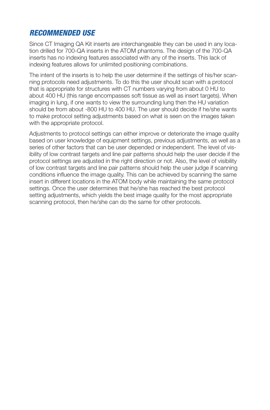# *RECOMMENDED USE*

Since CT Imaging QA Kit inserts are interchangeable they can be used in any location drilled for 700-QA inserts in the ATOM phantoms. The design of the 700-QA inserts has no indexing features associated with any of the inserts. This lack of indexing features allows for unlimited positioning combinations.

The intent of the inserts is to help the user determine if the settings of his/her scanning protocols need adjustments. To do this the user should scan with a protocol that is appropriate for structures with CT numbers varying from about 0 HU to about 400 HU (this range encompasses soft tissue as well as insert targets). When imaging in lung, if one wants to view the surrounding lung then the HU variation should be from about -800 HU to 400 HU. The user should decide if he/she wants to make protocol setting adjustments based on what is seen on the images taken with the appropriate protocol.

Adjustments to protocol settings can either improve or deteriorate the image quality based on user knowledge of equipment settings, previous adjustments, as well as a series of other factors that can be user depended or independent. The level of visibility of low contrast targets and line pair patterns should help the user decide if the protocol settings are adjusted in the right direction or not. Also, the level of visibility of low contrast targets and line pair patterns should help the user judge if scanning conditions influence the image quality. This can be achieved by scanning the same insert in different locations in the ATOM body while maintaining the same protocol settings. Once the user determines that he/she has reached the best protocol setting adjustments, which yields the best image quality for the most appropriate scanning protocol, then he/she can do the same for other protocols.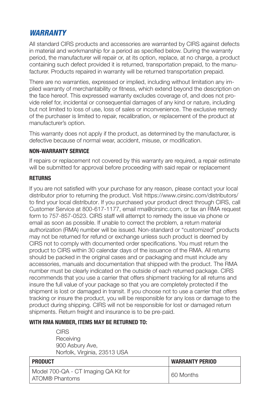# *WARRANTY*

All standard CIRS products and accessories are warranted by CIRS against defects in material and workmanship for a period as specified below. During the warranty period, the manufacturer will repair or, at its option, replace, at no charge, a product containing such defect provided it is returned, transportation prepaid, to the manufacturer. Products repaired in warranty will be returned transportation prepaid.

There are no warranties, expressed or implied, including without limitation any implied warranty of merchantability or fitness, which extend beyond the description on the face hereof. This expressed warranty excludes coverage of, and does not provide relief for, incidental or consequential damages of any kind or nature, including but not limited to loss of use, loss of sales or inconvenience. The exclusive remedy of the purchaser is limited to repair, recalibration, or replacement of the product at manufacturer's option.

This warranty does not apply if the product, as determined by the manufacturer, is defective because of normal wear, accident, misuse, or modification.

#### **NON-WARRANTY SERVICE**

If repairs or replacement not covered by this warranty are required, a repair estimate will be submitted for approval before proceeding with said repair or replacement

#### **RETURNS**

If you are not satisfied with your purchase for any reason, please contact your local distributor prior to returning the product. Visit https://www.cirsinc.com/distributors/ to find your local distributor. If you purchased your product direct through CIRS, call Customer Service at 800-617-1177, email rma@cirsinc.com, or fax an RMA request form to 757-857-0523. CIRS staff will attempt to remedy the issue via phone or email as soon as possible. If unable to correct the problem, a return material authorization (RMA) number will be issued. Non-standard or "customized" products may not be returned for refund or exchange unless such product is deemed by CIRS not to comply with documented order specifications. You must return the product to CIRS within 30 calendar days of the issuance of the RMA. All returns should be packed in the original cases and or packaging and must include any accessories, manuals and documentation that shipped with the product. The RMA number must be clearly indicated on the outside of each returned package. CIRS recommends that you use a carrier that offers shipment tracking for all returns and insure the full value of your package so that you are completely protected if the shipment is lost or damaged in transit. If you choose not to use a carrier that offers tracking or insure the product, you will be responsible for any loss or damage to the product during shipping. CIRS will not be responsible for lost or damaged return shipments. Return freight and insurance is to be pre-paid.

#### **WITH RMA NUMBER, ITEMS MAY BE RETURNED TO:**

**CIRS Receiving** 900 Asbury Ave, Norfolk, Virginia, 23513 USA

| <b>PRODUCT</b>                                         | <b>WARRANTY PERIOD</b> |
|--------------------------------------------------------|------------------------|
| Model 700-QA - CT Imaging QA Kit for<br>ATOM® Phantoms | 60 Months              |